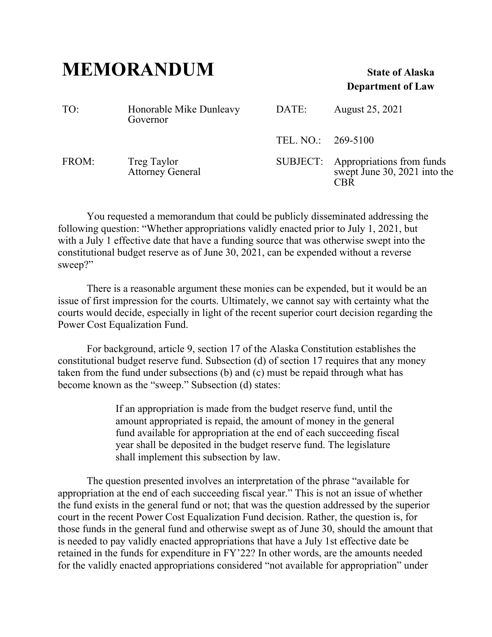## **MEMORANDUM State of Alaska**

## **Department of Law**

| TO:   | Honorable Mike Dunleavy<br>Governor    | DATE:              | August 25, 2021                                                           |
|-------|----------------------------------------|--------------------|---------------------------------------------------------------------------|
|       |                                        | TEL. NO.: 269-5100 |                                                                           |
| FROM: | Treg Taylor<br><b>Attorney General</b> |                    | SUBJECT: Appropriations from funds<br>swept June 30, 2021 into the<br>CRR |

 You requested a memorandum that could be publicly disseminated addressing the following question: "Whether appropriations validly enacted prior to July 1, 2021, but with a July 1 effective date that have a funding source that was otherwise swept into the constitutional budget reserve as of June 30, 2021, can be expended without a reverse sweep?"

 There is a reasonable argument these monies can be expended, but it would be an issue of first impression for the courts. Ultimately, we cannot say with certainty what the courts would decide, especially in light of the recent superior court decision regarding the Power Cost Equalization Fund.

 For background, article 9, section 17 of the Alaska Constitution establishes the constitutional budget reserve fund. Subsection (d) of section 17 requires that any money taken from the fund under subsections (b) and (c) must be repaid through what has become known as the "sweep." Subsection (d) states:

> If an appropriation is made from the budget reserve fund, until the amount appropriated is repaid, the amount of money in the general fund available for appropriation at the end of each succeeding fiscal year shall be deposited in the budget reserve fund. The legislature shall implement this subsection by law.

 The question presented involves an interpretation of the phrase "available for appropriation at the end of each succeeding fiscal year." This is not an issue of whether the fund exists in the general fund or not; that was the question addressed by the superior court in the recent Power Cost Equalization Fund decision. Rather, the question is, for those funds in the general fund and otherwise swept as of June 30, should the amount that is needed to pay validly enacted appropriations that have a July 1st effective date be retained in the funds for expenditure in FY'22? In other words, are the amounts needed for the validly enacted appropriations considered "not available for appropriation" under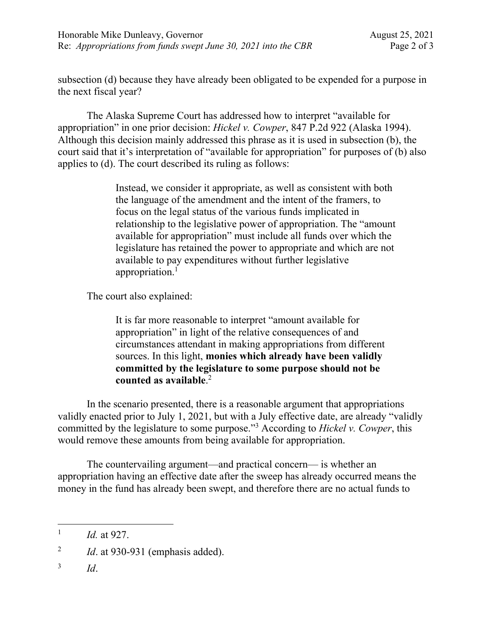subsection (d) because they have already been obligated to be expended for a purpose in the next fiscal year?

 The Alaska Supreme Court has addressed how to interpret "available for appropriation" in one prior decision: *Hickel v. Cowper*, 847 P.2d 922 (Alaska 1994). Although this decision mainly addressed this phrase as it is used in subsection (b), the court said that it's interpretation of "available for appropriation" for purposes of (b) also applies to (d). The court described its ruling as follows:

> Instead, we consider it appropriate, as well as consistent with both the language of the amendment and the intent of the framers, to focus on the legal status of the various funds implicated in relationship to the legislative power of appropriation. The "amount available for appropriation" must include all funds over which the legislature has retained the power to appropriate and which are not available to pay expenditures without further legislative appropriation.<sup>1</sup>

The court also explained:

It is far more reasonable to interpret "amount available for appropriation" in light of the relative consequences of and circumstances attendant in making appropriations from different sources. In this light, **monies which already have been validly committed by the legislature to some purpose should not be counted as available**. 2

 In the scenario presented, there is a reasonable argument that appropriations validly enacted prior to July 1, 2021, but with a July effective date, are already "validly committed by the legislature to some purpose."3 According to *Hickel v. Cowper*, this would remove these amounts from being available for appropriation.

 The countervailing argument—and practical concern— is whether an appropriation having an effective date after the sweep has already occurred means the money in the fund has already been swept, and therefore there are no actual funds to

 $\overline{a}$ 1 *Id.* at 927.

<sup>2</sup> *Id*. at 930-931 (emphasis added).

<sup>3</sup> *Id*.